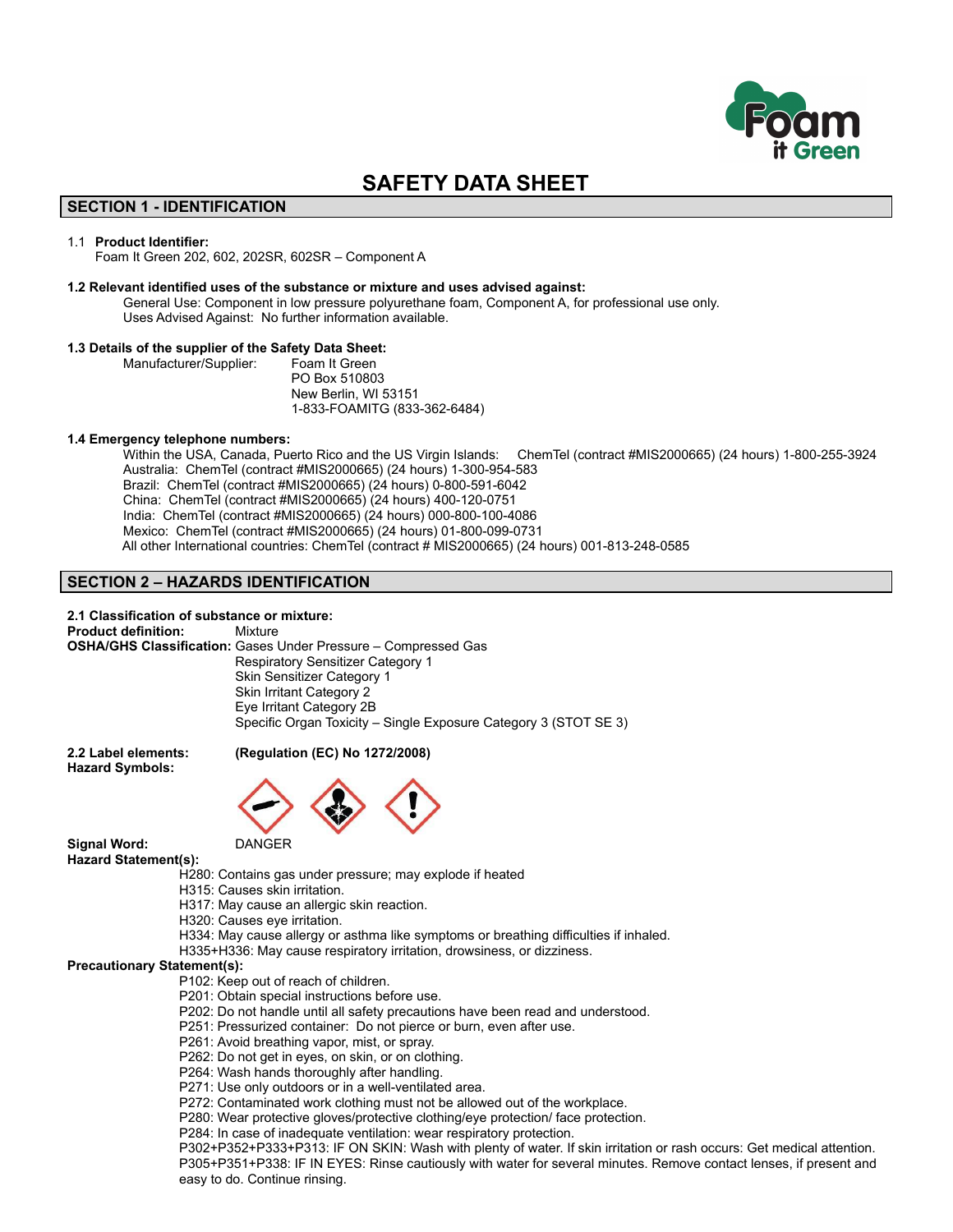

# **SAFETY DATA SHEET**

# **SECTION 1 - IDENTIFICATION**

### 1.1 **Product Identifier:**

Foam It Green 202, 602, 202SR, 602SR – Component A

### **1.2 Relevant identified uses of the substance or mixture and uses advised against:**

General Use: Component in low pressure polyurethane foam, Component A, for professional use only. Uses Advised Against: No further information available.

## **1.3 Details of the supplier of the Safety Data Sheet:**

Manufacturer/Supplier: Foam It Green PO Box 510803 New Berlin, WI 53151 1-833-FOAMITG (833-362-6484)

### **1.4 Emergency telephone numbers:**

Within the USA, Canada, Puerto Rico and the US Virgin Islands: ChemTel (contract #MIS2000665) (24 hours) 1-800-255-3924 Australia: ChemTel (contract #MIS2000665) (24 hours) 1-300-954-583 Brazil: ChemTel (contract #MIS2000665) (24 hours) 0-800-591-6042 China: ChemTel (contract #MIS2000665) (24 hours) 400-120-0751 India: ChemTel (contract #MIS2000665) (24 hours) 000-800-100-4086 Mexico: ChemTel (contract #MIS2000665) (24 hours) 01-800-099-0731 All other International countries: ChemTel (contract # MIS2000665) (24 hours) 001-813-248-0585

# **SECTION 2 – HAZARDS IDENTIFICATION**

**2.1 Classification of substance or mixture: Product definition:** Mixture **OSHA/GHS Classification:** Gases Under Pressure – Compressed Gas Respiratory Sensitizer Category 1 Skin Sensitizer Category 1 Skin Irritant Category 2 Eye Irritant Category 2B Specific Organ Toxicity – Single Exposure Category 3 (STOT SE 3)

**Hazard Symbols:**

## **2.2 Label elements: (Regulation (EC) No 1272/2008)**



**Signal Word:** DANGER

**Hazard Statement(s):**

- H280: Contains gas under pressure; may explode if heated
- H315: Causes skin irritation.
- H317: May cause an allergic skin reaction.
- H320: Causes eye irritation.
- H334: May cause allergy or asthma like symptoms or breathing difficulties if inhaled.
- H335+H336: May cause respiratory irritation, drowsiness, or dizziness.

## **Precautionary Statement(s):**

- P102: Keep out of reach of children.
- P201: Obtain special instructions before use.
- P202: Do not handle until all safety precautions have been read and understood.
- P251: Pressurized container: Do not pierce or burn, even after use.
- P261: Avoid breathing vapor, mist, or spray.
- P262: Do not get in eyes, on skin, or on clothing.
- P264: Wash hands thoroughly after handling.
- P271: Use only outdoors or in a well-ventilated area.
- P272: Contaminated work clothing must not be allowed out of the workplace.
- P280: Wear protective gloves/protective clothing/eye protection/ face protection.
- P284: In case of inadequate ventilation: wear respiratory protection.

P302+P352+P333+P313: IF ON SKIN: Wash with plenty of water. If skin irritation or rash occurs: Get medical attention. P305+P351+P338: IF IN EYES: Rinse cautiously with water for several minutes. Remove contact lenses, if present and easy to do. Continue rinsing.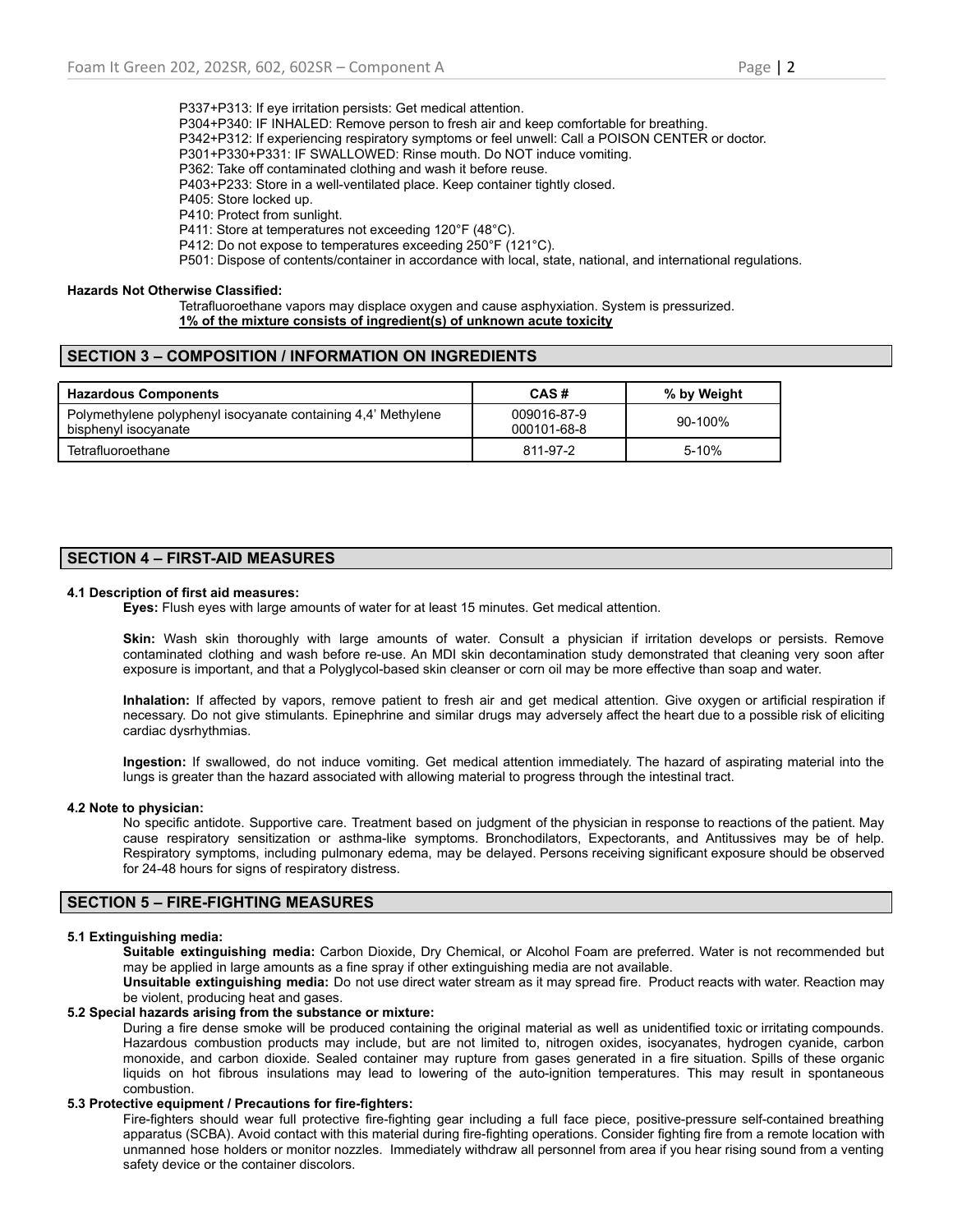P337+P313: If eye irritation persists: Get medical attention. P304+P340: IF INHALED: Remove person to fresh air and keep comfortable for breathing. P342+P312: If experiencing respiratory symptoms or feel unwell: Call a POISON CENTER or doctor. P301+P330+P331: IF SWALLOWED: Rinse mouth. Do NOT induce vomiting. P362: Take off contaminated clothing and wash it before reuse. P403+P233: Store in a well-ventilated place. Keep container tightly closed. P405: Store locked up. P410: Protect from sunlight. P411: Store at temperatures not exceeding 120°F (48°C). P412: Do not expose to temperatures exceeding 250°F (121°C). P501: Dispose of contents/container in accordance with local, state, national, and international regulations.

# **Hazards Not Otherwise Classified:**

Tetrafluoroethane vapors may displace oxygen and cause asphyxiation. System is pressurized. **1% of the mixture consists of ingredient(s) of unknown acute toxicity**

# **SECTION 3 – COMPOSITION / INFORMATION ON INGREDIENTS**

| <b>Hazardous Components</b>                                                           | CAS#                       | % by Weight |
|---------------------------------------------------------------------------------------|----------------------------|-------------|
| Polymethylene polyphenyl isocyanate containing 4,4' Methylene<br>bisphenyl isocyanate | 009016-87-9<br>000101-68-8 | $90-100%$   |
| Tetrafluoroethane                                                                     | 811-97-2                   | $5-10%$     |

# **SECTION 4 – FIRST-AID MEASURES**

### **4.1 Description of first aid measures:**

**Eyes:** Flush eyes with large amounts of water for at least 15 minutes. Get medical attention.

**Skin:** Wash skin thoroughly with large amounts of water. Consult a physician if irritation develops or persists. Remove contaminated clothing and wash before re-use. An MDI skin decontamination study demonstrated that cleaning very soon after exposure is important, and that a Polyglycol-based skin cleanser or corn oil may be more effective than soap and water.

**Inhalation:** If affected by vapors, remove patient to fresh air and get medical attention. Give oxygen or artificial respiration if necessary. Do not give stimulants. Epinephrine and similar drugs may adversely affect the heart due to a possible risk of eliciting cardiac dysrhythmias.

**Ingestion:** If swallowed, do not induce vomiting. Get medical attention immediately. The hazard of aspirating material into the lungs is greater than the hazard associated with allowing material to progress through the intestinal tract.

## **4.2 Note to physician:**

No specific antidote. Supportive care. Treatment based on judgment of the physician in response to reactions of the patient. May cause respiratory sensitization or asthma-like symptoms. Bronchodilators, Expectorants, and Antitussives may be of help. Respiratory symptoms, including pulmonary edema, may be delayed. Persons receiving significant exposure should be observed for 24-48 hours for signs of respiratory distress.

# **SECTION 5 – FIRE-FIGHTING MEASURES**

## **5.1 Extinguishing media:**

**Suitable extinguishing media:** Carbon Dioxide, Dry Chemical, or Alcohol Foam are preferred. Water is not recommended but may be applied in large amounts as a fine spray if other extinguishing media are not available.

**Unsuitable extinguishing media:** Do not use direct water stream as it may spread fire. Product reacts with water. Reaction may be violent, producing heat and gases.

### **5.2 Special hazards arising from the substance or mixture:**

During a fire dense smoke will be produced containing the original material as well as unidentified toxic or irritating compounds. Hazardous combustion products may include, but are not limited to, nitrogen oxides, isocyanates, hydrogen cyanide, carbon monoxide, and carbon dioxide. Sealed container may rupture from gases generated in a fire situation. Spills of these organic liquids on hot fibrous insulations may lead to lowering of the auto-ignition temperatures. This may result in spontaneous combustion.

# **5.3 Protective equipment / Precautions for fire-fighters:**

Fire-fighters should wear full protective fire-fighting gear including a full face piece, positive-pressure self-contained breathing apparatus (SCBA). Avoid contact with this material during fire-fighting operations. Consider fighting fire from a remote location with unmanned hose holders or monitor nozzles. Immediately withdraw all personnel from area if you hear rising sound from a venting safety device or the container discolors.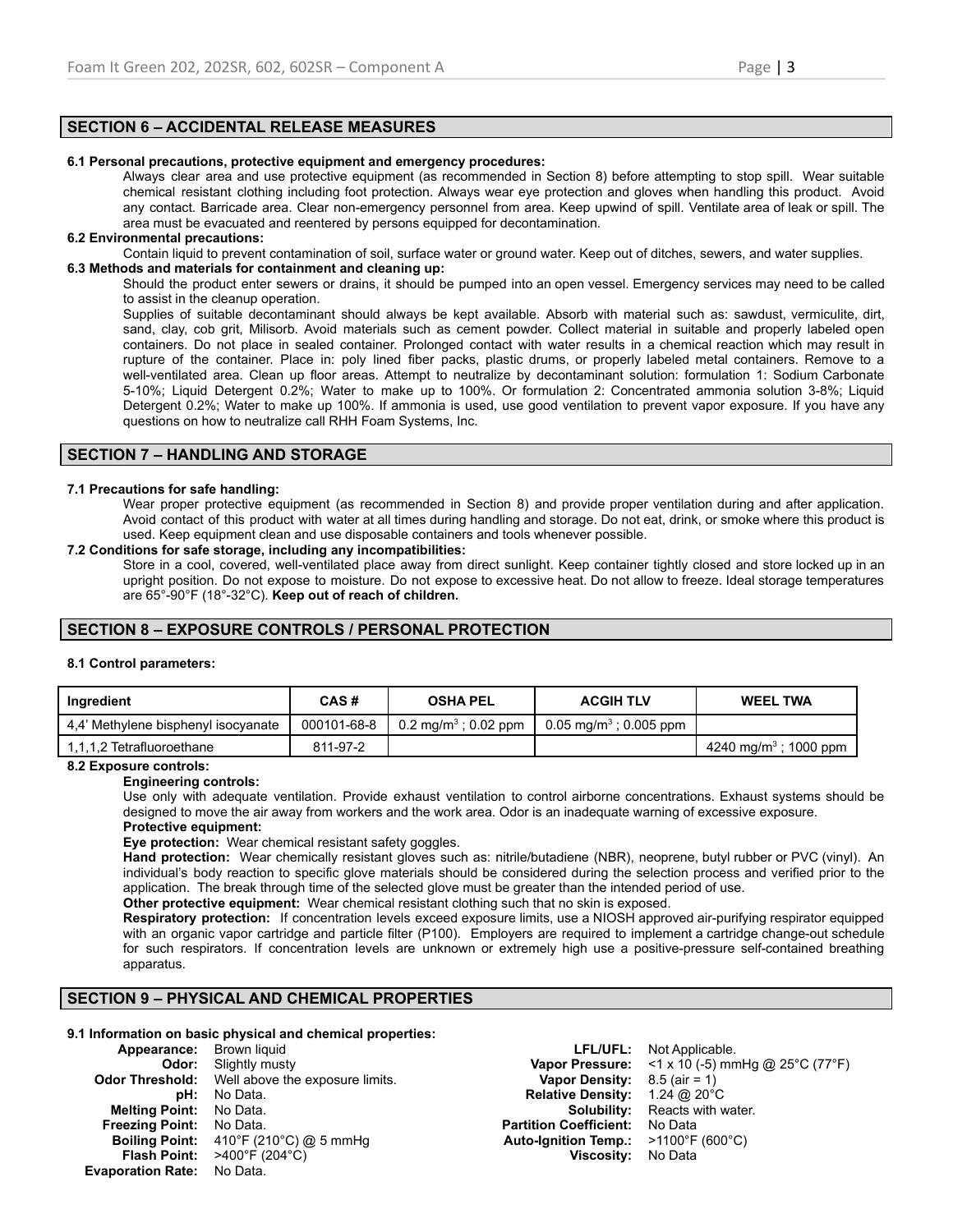# **SECTION 6 – ACCIDENTAL RELEASE MEASURES**

### **6.1 Personal precautions, protective equipment and emergency procedures:**

Always clear area and use protective equipment (as recommended in Section 8) before attempting to stop spill. Wear suitable chemical resistant clothing including foot protection. Always wear eye protection and gloves when handling this product. Avoid any contact. Barricade area. Clear non-emergency personnel from area. Keep upwind of spill. Ventilate area of leak or spill. The area must be evacuated and reentered by persons equipped for decontamination.

# **6.2 Environmental precautions:**

Contain liquid to prevent contamination of soil, surface water or ground water. Keep out of ditches, sewers, and water supplies.

# **6.3 Methods and materials for containment and cleaning up:**

Should the product enter sewers or drains, it should be pumped into an open vessel. Emergency services may need to be called to assist in the cleanup operation.

Supplies of suitable decontaminant should always be kept available. Absorb with material such as: sawdust, vermiculite, dirt, sand, clay, cob grit, Milisorb. Avoid materials such as cement powder. Collect material in suitable and properly labeled open containers. Do not place in sealed container. Prolonged contact with water results in a chemical reaction which may result in rupture of the container. Place in: poly lined fiber packs, plastic drums, or properly labeled metal containers. Remove to a well-ventilated area. Clean up floor areas. Attempt to neutralize by decontaminant solution: formulation 1: Sodium Carbonate 5-10%; Liquid Detergent 0.2%; Water to make up to 100%. Or formulation 2: Concentrated ammonia solution 3-8%; Liquid Detergent 0.2%; Water to make up 100%. If ammonia is used, use good ventilation to prevent vapor exposure. If you have any questions on how to neutralize call RHH Foam Systems, Inc.

# **SECTION 7 – HANDLING AND STORAGE**

### **7.1 Precautions for safe handling:**

Wear proper protective equipment (as recommended in Section 8) and provide proper ventilation during and after application. Avoid contact of this product with water at all times during handling and storage. Do not eat, drink, or smoke where this product is used. Keep equipment clean and use disposable containers and tools whenever possible.

### **7.2 Conditions for safe storage, including any incompatibilities:**

Store in a cool, covered, well-ventilated place away from direct sunlight. Keep container tightly closed and store locked up in an upright position. Do not expose to moisture. Do not expose to excessive heat. Do not allow to freeze. Ideal storage temperatures are 65°-90°F (18°-32°C). **Keep out of reach of children.**

# **SECTION 8 – EXPOSURE CONTROLS / PERSONAL PROTECTION**

## **8.1 Control parameters:**

| Ingredient                          | CAS#        | <b>OSHA PEL</b>                  | <b>ACGIH TLV</b>                     | <b>WEEL TWA</b>                   |
|-------------------------------------|-------------|----------------------------------|--------------------------------------|-----------------------------------|
| 4.4' Methylene bisphenyl isocyanate | 000101-68-8 | 0.2 mg/m <sup>3</sup> ; 0.02 ppm | $0.05 \,\mathrm{mq/m^3}$ ; 0.005 ppm |                                   |
| 1.1.1.2 Tetrafluoroethane           | 811-97-2    |                                  |                                      | 4240 mg/m <sup>3</sup> ; 1000 ppm |

# **8.2 Exposure controls:**

### **Engineering controls:**

Use only with adequate ventilation. Provide exhaust ventilation to control airborne concentrations. Exhaust systems should be designed to move the air away from workers and the work area. Odor is an inadequate warning of excessive exposure.

## **Protective equipment:**

**Eye protection:** Wear chemical resistant safety goggles.

**Hand protection:** Wear chemically resistant gloves such as: nitrile/butadiene (NBR), neoprene, butyl rubber or PVC (vinyl). An individual's body reaction to specific glove materials should be considered during the selection process and verified prior to the application. The break through time of the selected glove must be greater than the intended period of use.

**Other protective equipment:** Wear chemical resistant clothing such that no skin is exposed.

**Respiratory protection:** If concentration levels exceed exposure limits, use a NIOSH approved air-purifying respirator equipped with an organic vapor cartridge and particle filter (P100). Employers are required to implement a cartridge change-out schedule for such respirators. If concentration levels are unknown or extremely high use a positive-pressure self-contained breathing apparatus.

# **SECTION 9 – PHYSICAL AND CHEMICAL PROPERTIES**

### **9.1 Information on basic physical and chemical properties:**

| <b>Appearance:</b> Brown liquid   |                                                             |                                                         | <b>LFL/UFL:</b> Not Applicable.                        |
|-----------------------------------|-------------------------------------------------------------|---------------------------------------------------------|--------------------------------------------------------|
|                                   | <b>Odor:</b> Slightly musty                                 |                                                         | <b>Vapor Pressure:</b> <1 x 10 (-5) mmHg @ 25°C (77°F) |
|                                   | <b>Odor Threshold:</b> Well above the exposure limits.      | <b>Vapor Density:</b> $8.5$ (air = 1)                   |                                                        |
|                                   | <b>pH:</b> No Data.                                         | <b>Relative Density:</b> $1.24 \text{ @ } 20^{\circ}$ C |                                                        |
| <b>Melting Point:</b> No Data.    |                                                             |                                                         | <b>Solubility:</b> Reacts with water.                  |
| <b>Freezing Point:</b> No Data.   |                                                             | <b>Partition Coefficient:</b> No Data                   |                                                        |
|                                   | <b>Boiling Point:</b> $410^{\circ}F(210^{\circ}C)$ @ 5 mmHg | Auto-Ignition Temp.: $>1100^{\circ}F(600^{\circ}C)$     |                                                        |
|                                   | <b>Flash Point:</b> $>400^{\circ}$ F (204 $^{\circ}$ C)     | Viscosity: No Data                                      |                                                        |
| <b>Evaporation Rate:</b> No Data. |                                                             |                                                         |                                                        |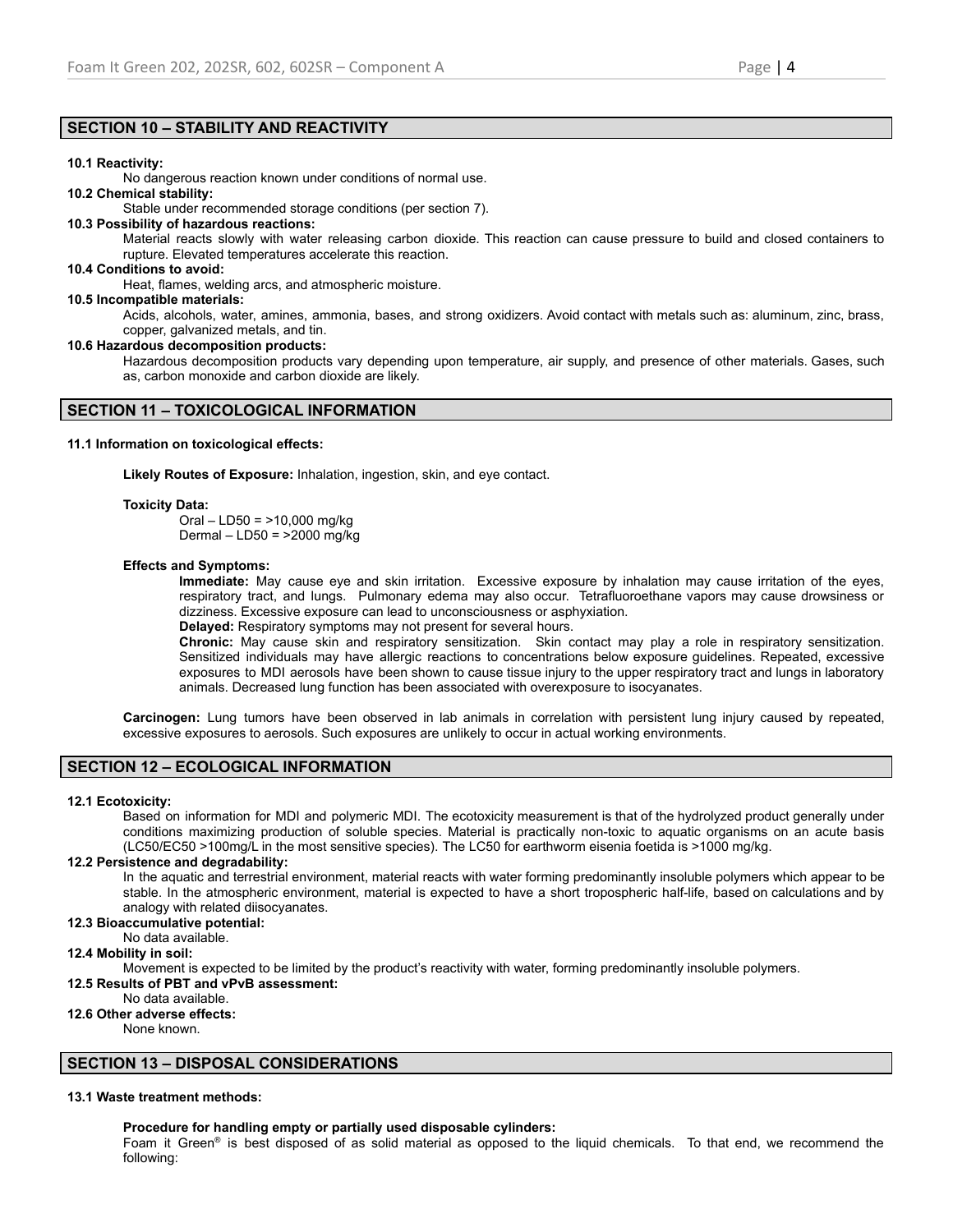# **SECTION 10 – STABILITY AND REACTIVITY**

## **10.1 Reactivity:**

No dangerous reaction known under conditions of normal use.

## **10.2 Chemical stability:**

Stable under recommended storage conditions (per section 7).

## **10.3 Possibility of hazardous reactions:**

Material reacts slowly with water releasing carbon dioxide. This reaction can cause pressure to build and closed containers to rupture. Elevated temperatures accelerate this reaction.

### **10.4 Conditions to avoid:**

Heat, flames, welding arcs, and atmospheric moisture.

## **10.5 Incompatible materials:**

Acids, alcohols, water, amines, ammonia, bases, and strong oxidizers. Avoid contact with metals such as: aluminum, zinc, brass, copper, galvanized metals, and tin.

### **10.6 Hazardous decomposition products:**

Hazardous decomposition products vary depending upon temperature, air supply, and presence of other materials. Gases, such as, carbon monoxide and carbon dioxide are likely.

## **SECTION 11 – TOXICOLOGICAL INFORMATION**

## **11.1 Information on toxicological effects:**

**Likely Routes of Exposure:** Inhalation, ingestion, skin, and eye contact.

## **Toxicity Data:**

Oral – LD50 = >10,000 mg/kg Dermal – LD50 = >2000 mg/kg

## **Effects and Symptoms:**

**Immediate:** May cause eye and skin irritation. Excessive exposure by inhalation may cause irritation of the eyes, respiratory tract, and lungs. Pulmonary edema may also occur. Tetrafluoroethane vapors may cause drowsiness or dizziness. Excessive exposure can lead to unconsciousness or asphyxiation.

**Delayed:** Respiratory symptoms may not present for several hours.

**Chronic:** May cause skin and respiratory sensitization. Skin contact may play a role in respiratory sensitization. Sensitized individuals may have allergic reactions to concentrations below exposure guidelines. Repeated, excessive exposures to MDI aerosols have been shown to cause tissue injury to the upper respiratory tract and lungs in laboratory animals. Decreased lung function has been associated with overexposure to isocyanates.

**Carcinogen:** Lung tumors have been observed in lab animals in correlation with persistent lung injury caused by repeated, excessive exposures to aerosols. Such exposures are unlikely to occur in actual working environments.

# **SECTION 12 – ECOLOGICAL INFORMATION**

## **12.1 Ecotoxicity:**

Based on information for MDI and polymeric MDI. The ecotoxicity measurement is that of the hydrolyzed product generally under conditions maximizing production of soluble species. Material is practically non-toxic to aquatic organisms on an acute basis (LC50/EC50 >100mg/L in the most sensitive species). The LC50 for earthworm eisenia foetida is >1000 mg/kg.

## **12.2 Persistence and degradability:**

In the aquatic and terrestrial environment, material reacts with water forming predominantly insoluble polymers which appear to be stable. In the atmospheric environment, material is expected to have a short tropospheric half-life, based on calculations and by analogy with related diisocyanates.

## **12.3 Bioaccumulative potential:**

No data available.

## **12.4 Mobility in soil:**

Movement is expected to be limited by the product's reactivity with water, forming predominantly insoluble polymers.

## **12.5 Results of PBT and vPvB assessment:**

# No data available.

# **12.6 Other adverse effects:**

None known.

# **SECTION 13 – DISPOSAL CONSIDERATIONS**

## **13.1 Waste treatment methods:**

## **Procedure for handling empty or partially used disposable cylinders:**

Foam it Green<sup>®</sup> is best disposed of as solid material as opposed to the liquid chemicals. To that end, we recommend the following: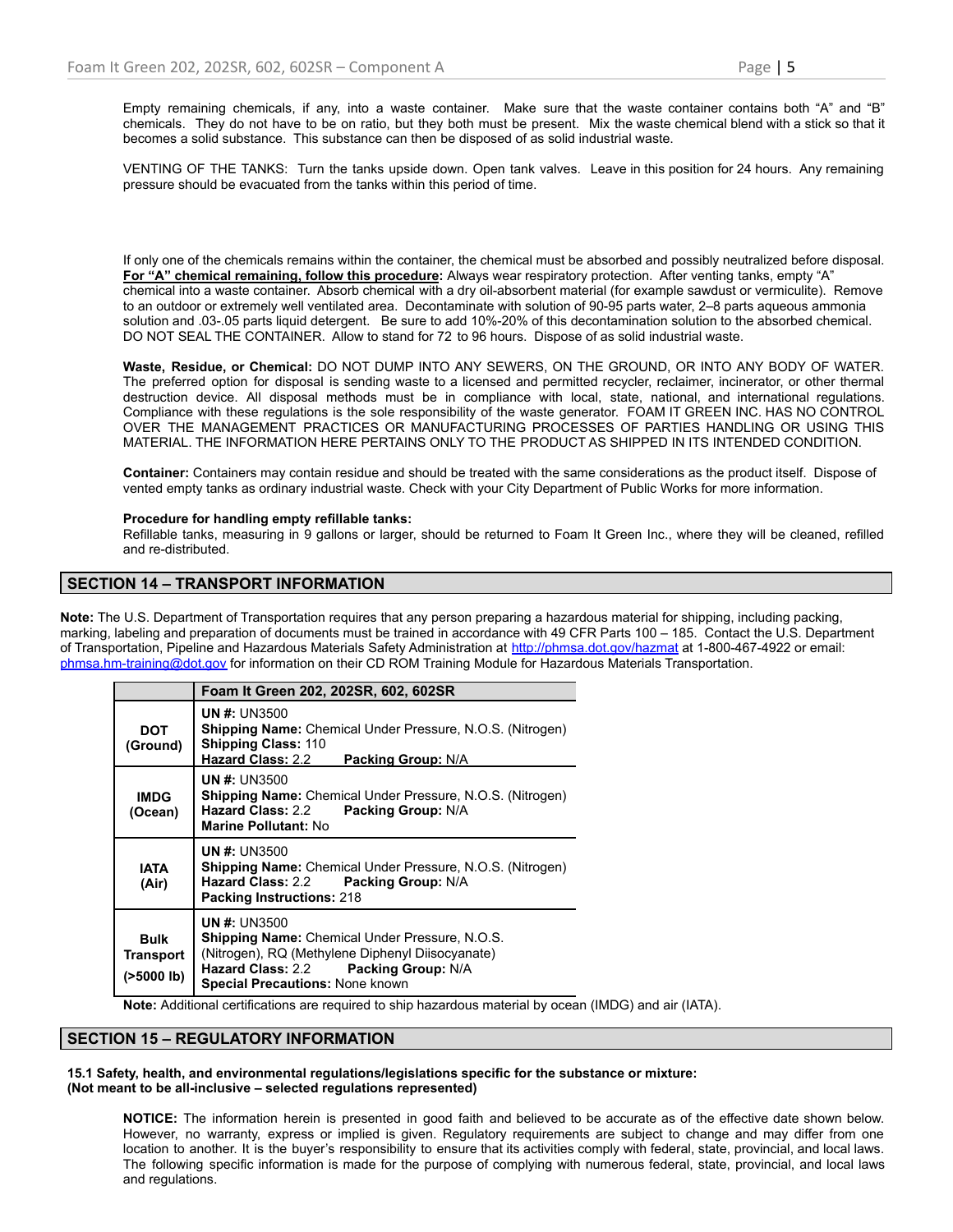Empty remaining chemicals, if any, into a waste container. Make sure that the waste container contains both "A" and "B" chemicals. They do not have to be on ratio, but they both must be present. Mix the waste chemical blend with a stick so that it becomes a solid substance. This substance can then be disposed of as solid industrial waste.

VENTING OF THE TANKS: Turn the tanks upside down. Open tank valves. Leave in this position for 24 hours. Any remaining pressure should be evacuated from the tanks within this period of time.

If only one of the chemicals remains within the container, the chemical must be absorbed and possibly neutralized before disposal. **For "A" chemical remaining, follow this procedure:** Always wear respiratory protection. After venting tanks, empty "A" chemical into a waste container. Absorb chemical with a dry oil-absorbent material (for example sawdust or vermiculite). Remove to an outdoor or extremely well ventilated area. Decontaminate with solution of 90-95 parts water, 2–8 parts aqueous ammonia solution and .03-.05 parts liquid detergent. Be sure to add 10%-20% of this decontamination solution to the absorbed chemical. DO NOT SEAL THE CONTAINER. Allow to stand for 72 to 96 hours. Dispose of as solid industrial waste.

**Waste, Residue, or Chemical:** DO NOT DUMP INTO ANY SEWERS, ON THE GROUND, OR INTO ANY BODY OF WATER. The preferred option for disposal is sending waste to a licensed and permitted recycler, reclaimer, incinerator, or other thermal destruction device. All disposal methods must be in compliance with local, state, national, and international regulations. Compliance with these regulations is the sole responsibility of the waste generator. FOAM IT GREEN INC. HAS NO CONTROL OVER THE MANAGEMENT PRACTICES OR MANUFACTURING PROCESSES OF PARTIES HANDLING OR USING THIS MATERIAL. THE INFORMATION HERE PERTAINS ONLY TO THE PRODUCT AS SHIPPED IN ITS INTENDED CONDITION.

**Container:** Containers may contain residue and should be treated with the same considerations as the product itself. Dispose of vented empty tanks as ordinary industrial waste. Check with your City Department of Public Works for more information.

## **Procedure for handling empty refillable tanks:**

Refillable tanks, measuring in 9 gallons or larger, should be returned to Foam It Green Inc., where they will be cleaned, refilled and re-distributed.

# **SECTION 14 – TRANSPORT INFORMATION**

**Note:** The U.S. Department of Transportation requires that any person preparing a hazardous material for shipping, including packing, marking, labeling and preparation of documents must be trained in accordance with 49 CFR Parts 100 – 185. Contact the U.S. Department of Transportation, Pipeline and Hazardous Materials Safety Administration at <http://phmsa.dot.gov/hazmat> at 1-800-467-4922 or email: [phmsa.hm-training@dot.gov](mailto:phmsa.hm-training@dot.gov) for information on their CD ROM Training Module for Hazardous Materials Transportation.

|                                                  | Foam It Green 202, 202SR, 602, 602SR                                                                                                                                                                               |
|--------------------------------------------------|--------------------------------------------------------------------------------------------------------------------------------------------------------------------------------------------------------------------|
| DOT<br>(Ground)                                  | <b>UN #: UN3500</b><br><b>Shipping Name:</b> Chemical Under Pressure, N.O.S. (Nitrogen)<br><b>Shipping Class: 110</b><br><b>Hazard Class: 2.2</b><br><b>Packing Group: N/A</b>                                     |
| <b>IMDG</b><br>(Ocean)                           | <b>UN #: UN3500</b><br><b>Shipping Name:</b> Chemical Under Pressure, N.O.S. (Nitrogen)<br>Hazard Class: 2.2 Packing Group: N/A<br><b>Marine Pollutant: No</b>                                                     |
| IATA<br>(Air)                                    | <b>UN #: UN3500</b><br><b>Shipping Name:</b> Chemical Under Pressure, N.O.S. (Nitrogen)<br>Hazard Class: 2.2 Packing Group: N/A<br><b>Packing Instructions: 218</b>                                                |
| <b>Bulk</b><br><b>Transport</b><br>$($ >5000 lb) | <b>UN #: UN3500</b><br><b>Shipping Name:</b> Chemical Under Pressure, N.O.S.<br>(Nitrogen), RQ (Methylene Diphenyl Diisocyanate)<br>Hazard Class: 2.2 Packing Group: N/A<br><b>Special Precautions: None known</b> |

**Note:** Additional certifications are required to ship hazardous material by ocean (IMDG) and air (IATA).

## **SECTION 15 – REGULATORY INFORMATION**

### **15.1 Safety, health, and environmental regulations/legislations specific for the substance or mixture: (Not meant to be all-inclusive – selected regulations represented)**

**NOTICE:** The information herein is presented in good faith and believed to be accurate as of the effective date shown below. However, no warranty, express or implied is given. Regulatory requirements are subject to change and may differ from one location to another. It is the buyer's responsibility to ensure that its activities comply with federal, state, provincial, and local laws. The following specific information is made for the purpose of complying with numerous federal, state, provincial, and local laws and regulations.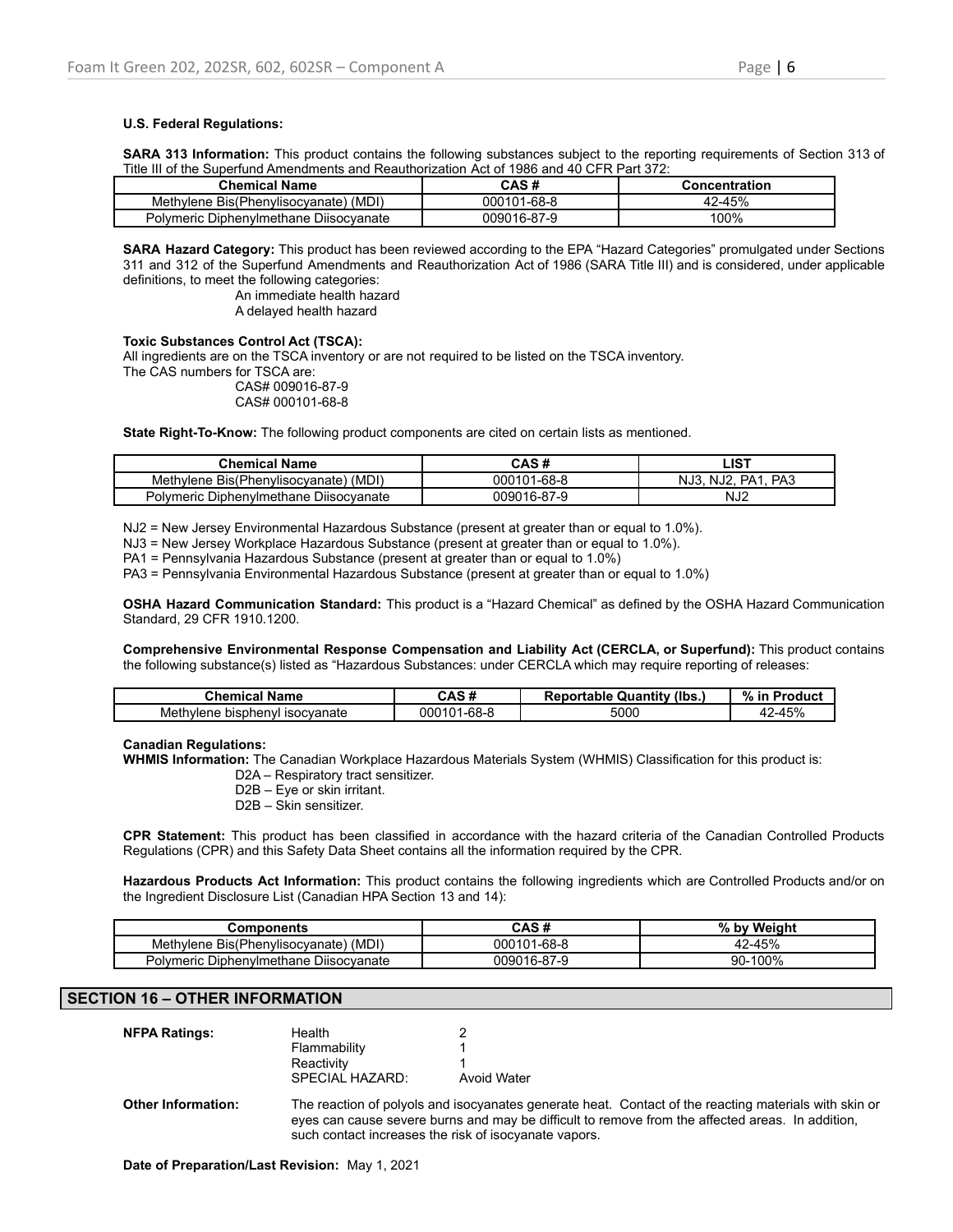## **U.S. Federal Regulations:**

**SARA 313 Information:** This product contains the following substances subject to the reporting requirements of Section 313 of Title III of the Superfund Amendments and Reauthorization Act of 1986 and 40 CFR Part 372:

| Chemical Name                          | CAS #       | Concentration |
|----------------------------------------|-------------|---------------|
| Methylene Bis(Phenylisocyanate) (MDI)  | 000101-68-8 | 42-45%        |
| Polymeric Diphenylmethane Diisocyanate | 009016-87-9 | 100%          |

**SARA Hazard Category:** This product has been reviewed according to the EPA "Hazard Categories" promulgated under Sections 311 and 312 of the Superfund Amendments and Reauthorization Act of 1986 (SARA Title III) and is considered, under applicable definitions, to meet the following categories:

> An immediate health hazard A delayed health hazard

## **Toxic Substances Control Act (TSCA):**

All ingredients are on the TSCA inventory or are not required to be listed on the TSCA inventory.

The CAS numbers for TSCA are: CAS# 009016-87-9

CAS# 000101-68-8

**State Right-To-Know:** The following product components are cited on certain lists as mentioned.

| <b>Chemical Name</b>                   | CAS #       | LIST                       |
|----------------------------------------|-------------|----------------------------|
| Methylene Bis(Phenylisocyanate) (MDI)  | 000101-68-8 | PA3<br>NJ3.<br>PA1<br>NJ2. |
| Polymeric Diphenylmethane Diisocyanate | 009016-87-9 | NJ <sub>2</sub>            |

NJ2 = New Jersey Environmental Hazardous Substance (present at greater than or equal to 1.0%).

NJ3 = New Jersey Workplace Hazardous Substance (present at greater than or equal to 1.0%).

PA1 = Pennsylvania Hazardous Substance (present at greater than or equal to 1.0%)

PA3 = Pennsylvania Environmental Hazardous Substance (present at greater than or equal to 1.0%)

**OSHA Hazard Communication Standard:** This product is a "Hazard Chemical" as defined by the OSHA Hazard Communication Standard, 29 CFR 1910.1200.

**Comprehensive Environmental Response Compensation and Liability Act (CERCLA, or Superfund):** This product contains the following substance(s) listed as "Hazardous Substances: under CERCLA which may require reporting of releases:

| Chemical Name                        | -44<br>CAS #     | <b>Reportable Quantity (Ibs.,</b> | %<br>Product<br>-ir |
|--------------------------------------|------------------|-----------------------------------|---------------------|
| isocvanate<br>Methvlene<br>bisphenyl | 8-68-،<br>000101 | 5000                              | '-45%<br>ΛC         |

### **Canadian Regulations:**

**WHMIS Information:** The Canadian Workplace Hazardous Materials System (WHMIS) Classification for this product is:

D2A – Respiratory tract sensitizer.

D2B – Eye or skin irritant.

D2B – Skin sensitizer.

**CPR Statement:** This product has been classified in accordance with the hazard criteria of the Canadian Controlled Products Regulations (CPR) and this Safety Data Sheet contains all the information required by the CPR.

**Hazardous Products Act Information:** This product contains the following ingredients which are Controlled Products and/or on the Ingredient Disclosure List (Canadian HPA Section 13 and 14):

| Components                               | CAS #            | Weiaht<br>% bv |
|------------------------------------------|------------------|----------------|
| (MDI)<br>Methylene Bis(Phenylisocyanate) | 1-68-8<br>000101 | 42-45%         |
| Polymeric Diphenylmethane Diisocyanate   | 009016-87-9      | 90-100%        |

# **SECTION 16 – OTHER INFORMATION**

| Health                 |                    |
|------------------------|--------------------|
| Flammability           |                    |
| Reactivity             |                    |
| <b>SPECIAL HAZARD:</b> | <b>Avoid Water</b> |
|                        |                    |

**Other Information:** The reaction of polyols and isocyanates generate heat. Contact of the reacting materials with skin or eyes can cause severe burns and may be difficult to remove from the affected areas. In addition, such contact increases the risk of isocyanate vapors.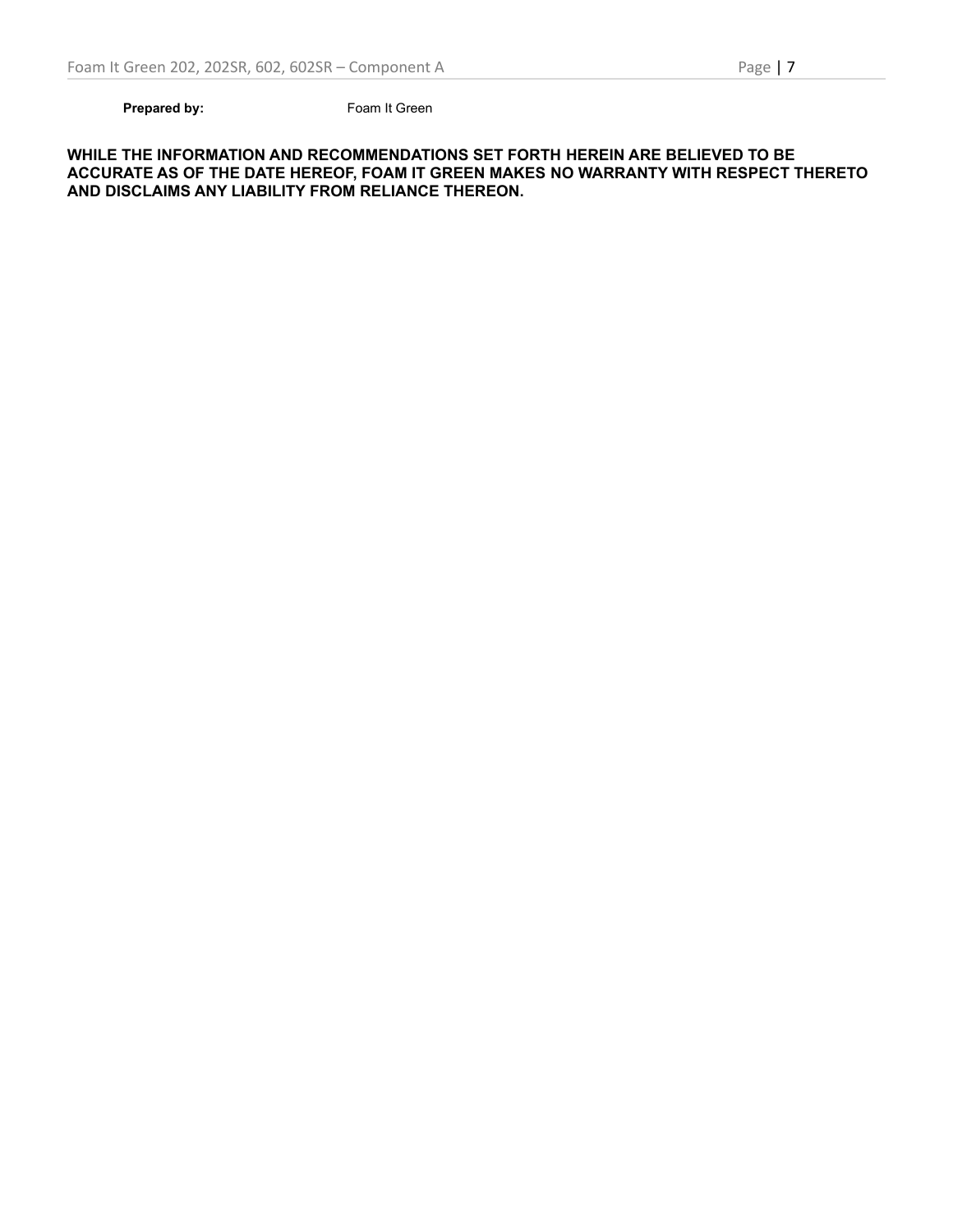**Prepared by:** Foam It Green

**WHILE THE INFORMATION AND RECOMMENDATIONS SET FORTH HEREIN ARE BELIEVED TO BE ACCURATE AS OF THE DATE HEREOF, FOAM IT GREEN MAKES NO WARRANTY WITH RESPECT THERETO AND DISCLAIMS ANY LIABILITY FROM RELIANCE THEREON.**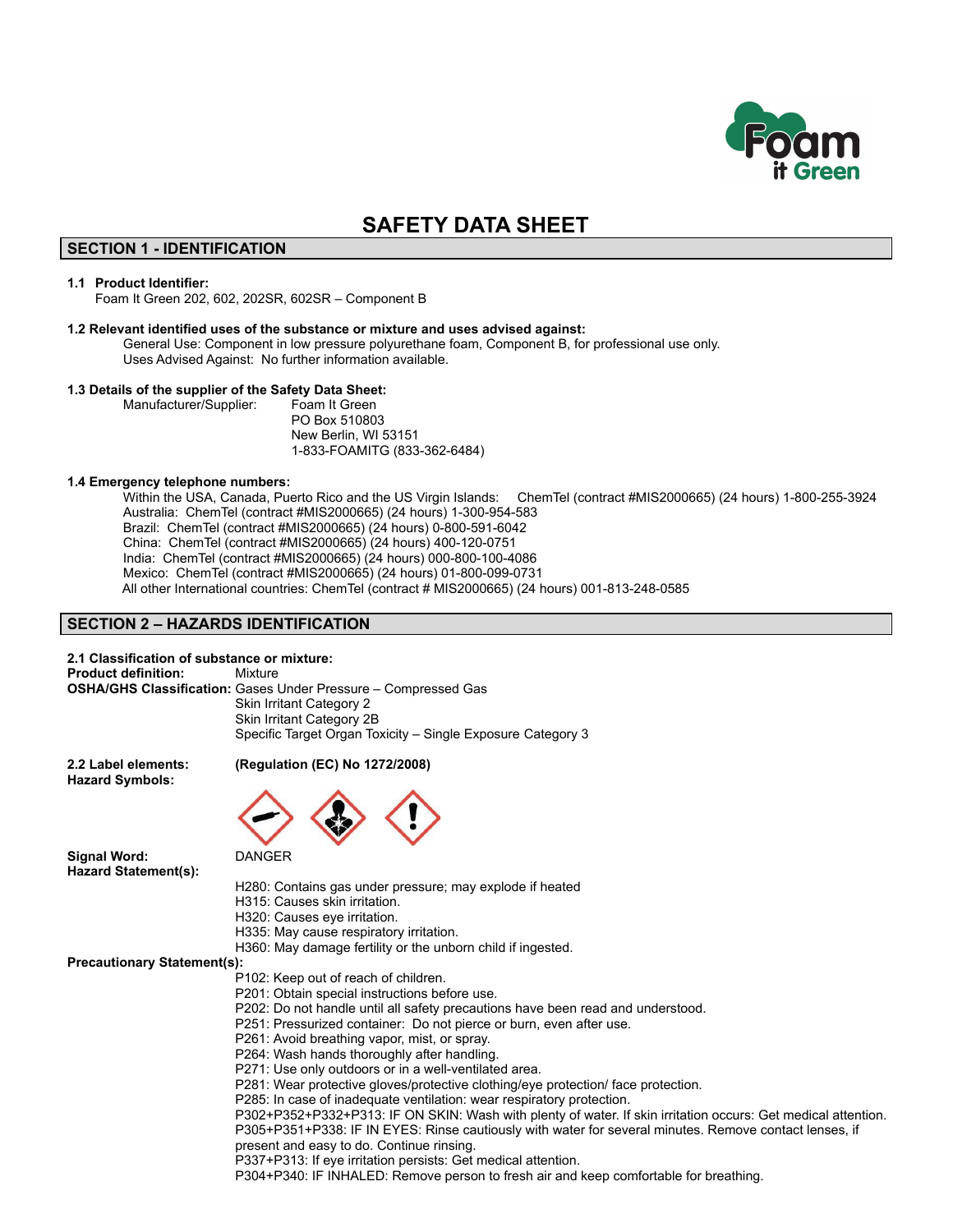

# **SAFETY DATA SHEET**

# **SECTION 1 - IDENTIFICATION**

### **1.1 Product Identifier:**

Foam It Green 202, 602, 202SR, 602SR – Component B

### **1.2 Relevant identified uses of the substance or mixture and uses advised against:**

General Use: Component in low pressure polyurethane foam, Component B, for professional use only. Uses Advised Against: No further information available.

#### **1.3 Details of the supplier of the Safety Data Sheet:**

Manufacturer/Supplier: Foam It Green

PO Box 510803 New Berlin, WI 53151 1-833-FOAMITG (833-362-6484)

### **1.4 Emergency telephone numbers:**

Within the USA, Canada, Puerto Rico and the US Virgin Islands: ChemTel (contract #MIS2000665) (24 hours) 1-800-255-3924 Australia: ChemTel (contract #MIS2000665) (24 hours) 1-300-954-583 Brazil: ChemTel (contract #MIS2000665) (24 hours) 0-800-591-6042 China: ChemTel (contract #MIS2000665) (24 hours) 400-120-0751 India: ChemTel (contract #MIS2000665) (24 hours) 000-800-100-4086 Mexico: ChemTel (contract #MIS2000665) (24 hours) 01-800-099-0731 All other International countries: ChemTel (contract # MIS2000665) (24 hours) 001-813-248-0585

## **SECTION 2 – HAZARDS IDENTIFICATION**

## **2.1 Classification of substance or mixture:**

**Product definition:** Mixture **OSHA/GHS Classification:** Gases Under Pressure – Compressed Gas Skin Irritant Category 2 Skin Irritant Category 2B Specific Target Organ Toxicity – Single Exposure Category 3

**Hazard Symbols:**

### **2.2 Label elements: (Regulation (EC) No 1272/2008)**



**Signal Word:** DANGER **Hazard Statement(s):**

H280: Contains gas under pressure; may explode if heated

- H315: Causes skin irritation.
- H320: Causes eye irritation.
- H335: May cause respiratory irritation.
- H360: May damage fertility or the unborn child if ingested.

**Precautionary Statement(s):**

- P102: Keep out of reach of children.
- P201: Obtain special instructions before use.
- P202: Do not handle until all safety precautions have been read and understood.
- P251: Pressurized container: Do not pierce or burn, even after use.
- P261: Avoid breathing vapor, mist, or spray.
- P264: Wash hands thoroughly after handling.
- P271: Use only outdoors or in a well-ventilated area.
- P281: Wear protective gloves/protective clothing/eye protection/ face protection.
- P285: In case of inadequate ventilation: wear respiratory protection.

P302+P352+P332+P313: IF ON SKIN: Wash with plenty of water. If skin irritation occurs: Get medical attention. P305+P351+P338: IF IN EYES: Rinse cautiously with water for several minutes. Remove contact lenses, if present and easy to do. Continue rinsing.

P337+P313: If eye irritation persists: Get medical attention.

P304+P340: IF INHALED: Remove person to fresh air and keep comfortable for breathing.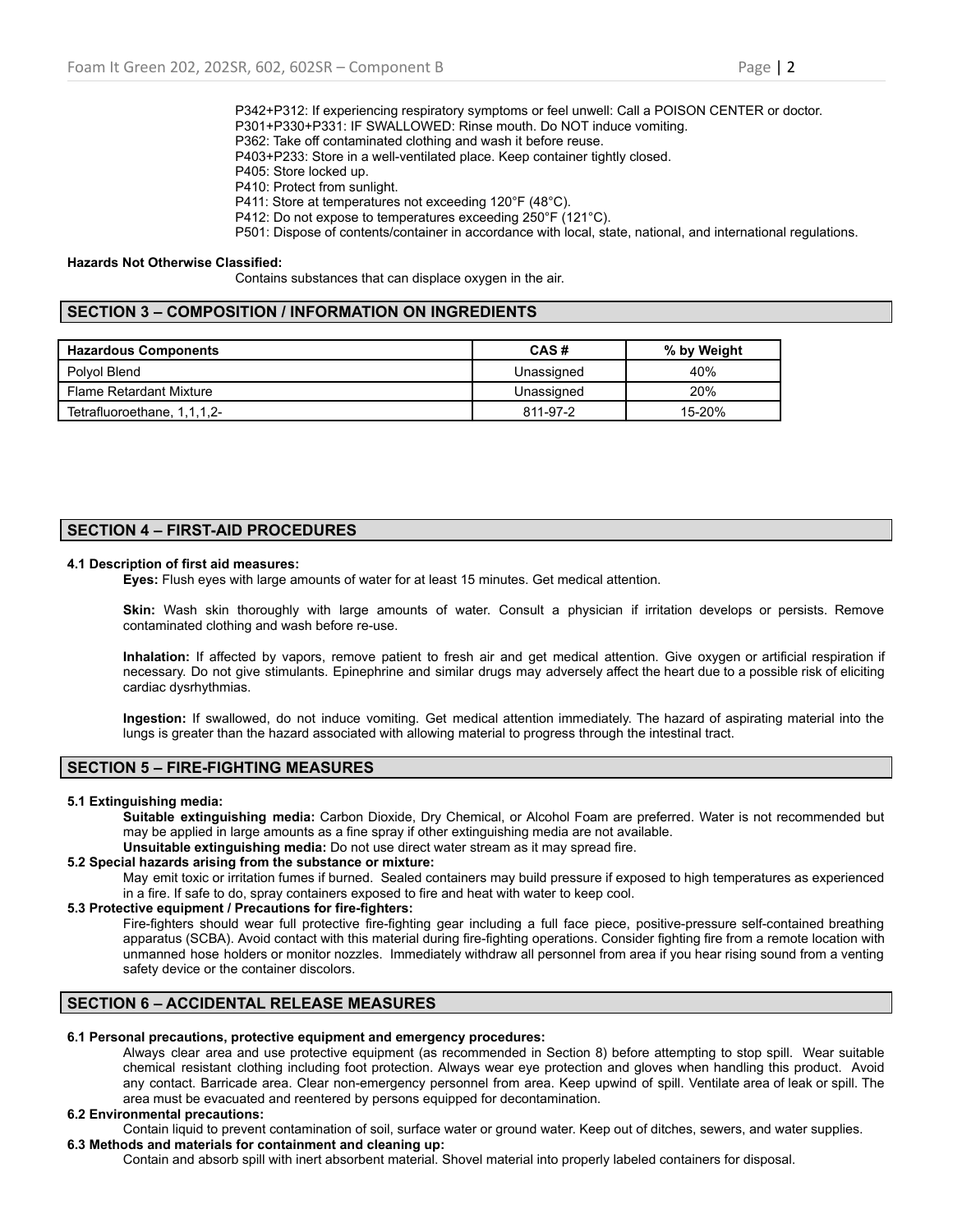P342+P312: If experiencing respiratory symptoms or feel unwell: Call a POISON CENTER or doctor. P301+P330+P331: IF SWALLOWED: Rinse mouth. Do NOT induce vomiting.

- P362: Take off contaminated clothing and wash it before reuse.
- P403+P233: Store in a well-ventilated place. Keep container tightly closed.
- P405: Store locked up.
- P410: Protect from sunlight.
- P411: Store at temperatures not exceeding 120°F (48°C).

P412: Do not expose to temperatures exceeding 250°F (121°C).

P501: Dispose of contents/container in accordance with local, state, national, and international regulations.

### **Hazards Not Otherwise Classified:**

Contains substances that can displace oxygen in the air.

# **SECTION 3 – COMPOSITION / INFORMATION ON INGREDIENTS**

| <b>Hazardous Components</b>    | CAS#       | % by Weight |
|--------------------------------|------------|-------------|
| Polyol Blend                   | Unassigned | 40%         |
| <b>Flame Retardant Mixture</b> | Unassigned | 20%         |
| Tetrafluoroethane, 1,1,1,2-    | 811-97-2   | 15-20%      |

# **SECTION 4 – FIRST-AID PROCEDURES**

### **4.1 Description of first aid measures:**

**Eyes:** Flush eyes with large amounts of water for at least 15 minutes. Get medical attention.

**Skin:** Wash skin thoroughly with large amounts of water. Consult a physician if irritation develops or persists. Remove contaminated clothing and wash before re-use.

**Inhalation:** If affected by vapors, remove patient to fresh air and get medical attention. Give oxygen or artificial respiration if necessary. Do not give stimulants. Epinephrine and similar drugs may adversely affect the heart due to a possible risk of eliciting cardiac dysrhythmias.

**Ingestion:** If swallowed, do not induce vomiting. Get medical attention immediately. The hazard of aspirating material into the lungs is greater than the hazard associated with allowing material to progress through the intestinal tract.

## **SECTION 5 – FIRE-FIGHTING MEASURES**

### **5.1 Extinguishing media:**

**Suitable extinguishing media:** Carbon Dioxide, Dry Chemical, or Alcohol Foam are preferred. Water is not recommended but may be applied in large amounts as a fine spray if other extinguishing media are not available.

**Unsuitable extinguishing media:** Do not use direct water stream as it may spread fire.

# **5.2 Special hazards arising from the substance or mixture:**

May emit toxic or irritation fumes if burned. Sealed containers may build pressure if exposed to high temperatures as experienced in a fire. If safe to do, spray containers exposed to fire and heat with water to keep cool.

## **5.3 Protective equipment / Precautions for fire-fighters:**

Fire-fighters should wear full protective fire-fighting gear including a full face piece, positive-pressure self-contained breathing apparatus (SCBA). Avoid contact with this material during fire-fighting operations. Consider fighting fire from a remote location with unmanned hose holders or monitor nozzles. Immediately withdraw all personnel from area if you hear rising sound from a venting safety device or the container discolors.

# **SECTION 6 – ACCIDENTAL RELEASE MEASURES**

### **6.1 Personal precautions, protective equipment and emergency procedures:**

Always clear area and use protective equipment (as recommended in Section 8) before attempting to stop spill. Wear suitable chemical resistant clothing including foot protection. Always wear eye protection and gloves when handling this product. Avoid any contact. Barricade area. Clear non-emergency personnel from area. Keep upwind of spill. Ventilate area of leak or spill. The area must be evacuated and reentered by persons equipped for decontamination.

## **6.2 Environmental precautions:**

Contain liquid to prevent contamination of soil, surface water or ground water. Keep out of ditches, sewers, and water supplies. **6.3 Methods and materials for containment and cleaning up:**

Contain and absorb spill with inert absorbent material. Shovel material into properly labeled containers for disposal.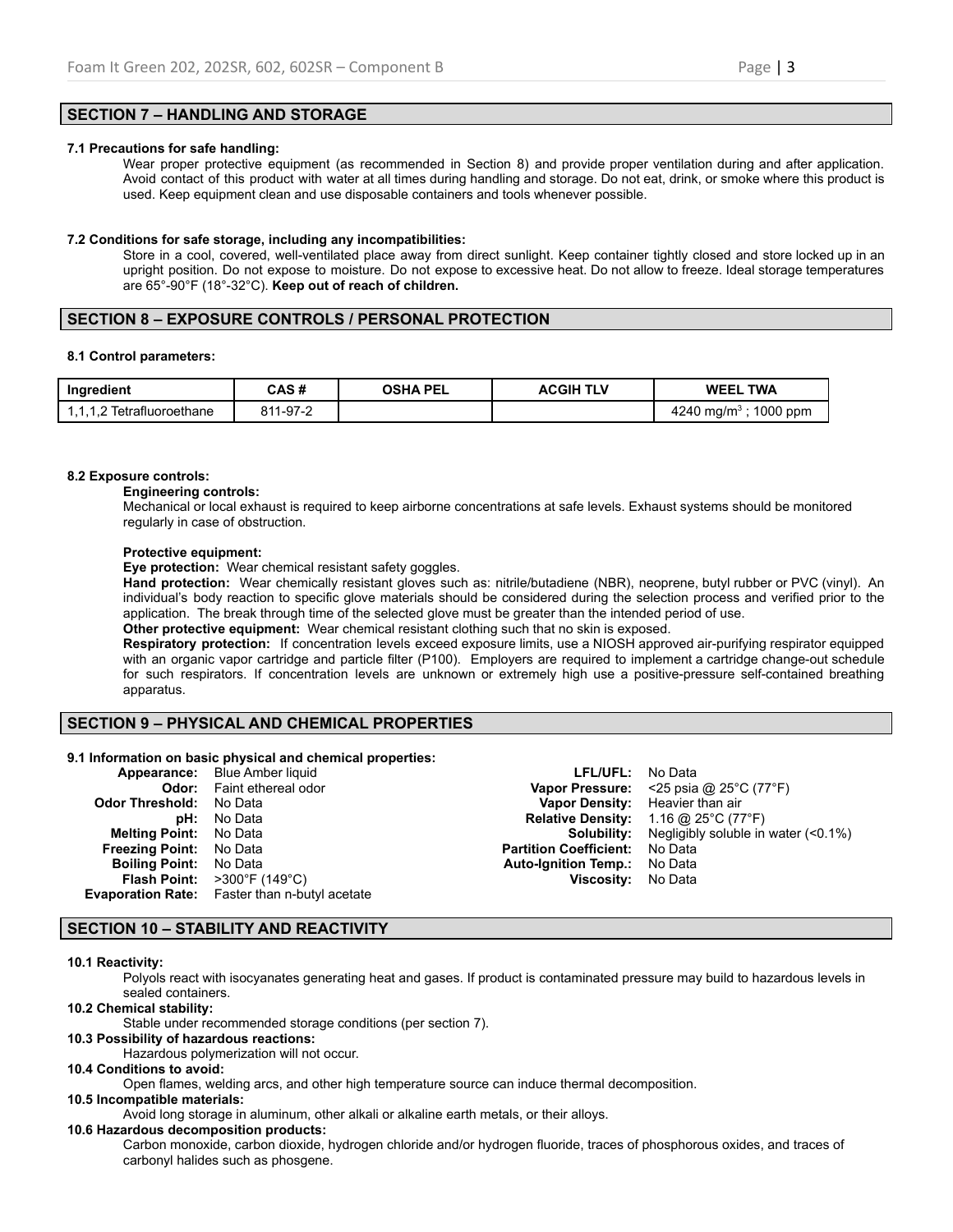## **SECTION 7 – HANDLING AND STORAGE**

## **7.1 Precautions for safe handling:**

Wear proper protective equipment (as recommended in Section 8) and provide proper ventilation during and after application. Avoid contact of this product with water at all times during handling and storage. Do not eat, drink, or smoke where this product is used. Keep equipment clean and use disposable containers and tools whenever possible.

### **7.2 Conditions for safe storage, including any incompatibilities:**

Store in a cool, covered, well-ventilated place away from direct sunlight. Keep container tightly closed and store locked up in an upright position. Do not expose to moisture. Do not expose to excessive heat. Do not allow to freeze. Ideal storage temperatures are 65°-90°F (18°-32°C). **Keep out of reach of children.**

### **SECTION 8 – EXPOSURE CONTROLS / PERSONAL PROTECTION**

### **8.1 Control parameters:**

| Ingredient                       | CAS #    | <b>OSHA PEL</b> | <b>ACGIH TLV</b> | <b>WEEL TWA</b>                    |
|----------------------------------|----------|-----------------|------------------|------------------------------------|
| 111<br>1,1,1,2 Tetrafluoroethane | 811-97-2 |                 |                  | 1000 ppm<br>4240 ma/m <sup>3</sup> |

### **8.2 Exposure controls:**

apparatus.

#### **Engineering controls:**

Mechanical or local exhaust is required to keep airborne concentrations at safe levels. Exhaust systems should be monitored regularly in case of obstruction.

### **Protective equipment:**

**Eye protection:** Wear chemical resistant safety goggles.

**Hand protection:** Wear chemically resistant gloves such as: nitrile/butadiene (NBR), neoprene, butyl rubber or PVC (vinyl). An individual's body reaction to specific glove materials should be considered during the selection process and verified prior to the application. The break through time of the selected glove must be greater than the intended period of use. **Other protective equipment:** Wear chemical resistant clothing such that no skin is exposed.

**Respiratory protection:** If concentration levels exceed exposure limits, use a NIOSH approved air-purifying respirator equipped with an organic vapor cartridge and particle filter (P100). Employers are required to implement a cartridge change-out schedule for such respirators. If concentration levels are unknown or extremely high use a positive-pressure self-contained breathing

## **SECTION 9 – PHYSICAL AND CHEMICAL PROPERTIES**

### **9.1 Information on basic physical and chemical properties:**

|                                | <b>Appearance:</b> Blue Amber liquid                    | <b>LFL/UFL:</b> No Data               |                                                                    |
|--------------------------------|---------------------------------------------------------|---------------------------------------|--------------------------------------------------------------------|
|                                | <b>Odor:</b> Faint ethereal odor                        |                                       | <b>Vapor Pressure:</b> <25 psia @ $25^{\circ}$ C (77 $^{\circ}$ F) |
| <b>Odor Threshold: No Data</b> |                                                         |                                       | Vapor Density: Heavier than air                                    |
|                                | <b>pH:</b> No Data                                      |                                       | <b>Relative Density:</b> 1.16 @ 25°C (77°F)                        |
| <b>Melting Point:</b> No Data  |                                                         |                                       | <b>Solubility:</b> Negligibly soluble in water $(0.1\%)$           |
| <b>Freezing Point:</b> No Data |                                                         | <b>Partition Coefficient:</b> No Data |                                                                    |
| <b>Boiling Point:</b> No Data  |                                                         | <b>Auto-Ignition Temp.:</b> No Data   |                                                                    |
|                                | <b>Flash Point:</b> $>300^{\circ}$ F (149 $^{\circ}$ C) | Viscosity: No Data                    |                                                                    |
|                                | <b>Evaporation Rate:</b> Faster than n-butyl acetate    |                                       |                                                                    |

## **SECTION 10 – STABILITY AND REACTIVITY**

### **10.1 Reactivity:**

Polyols react with isocyanates generating heat and gases. If product is contaminated pressure may build to hazardous levels in sealed containers.

# **10.2 Chemical stability:**

Stable under recommended storage conditions (per section 7).

## **10.3 Possibility of hazardous reactions:**

Hazardous polymerization will not occur.

## **10.4 Conditions to avoid:**

Open flames, welding arcs, and other high temperature source can induce thermal decomposition.

### **10.5 Incompatible materials:**

Avoid long storage in aluminum, other alkali or alkaline earth metals, or their alloys.

### **10.6 Hazardous decomposition products:**

Carbon monoxide, carbon dioxide, hydrogen chloride and/or hydrogen fluoride, traces of phosphorous oxides, and traces of carbonyl halides such as phosgene.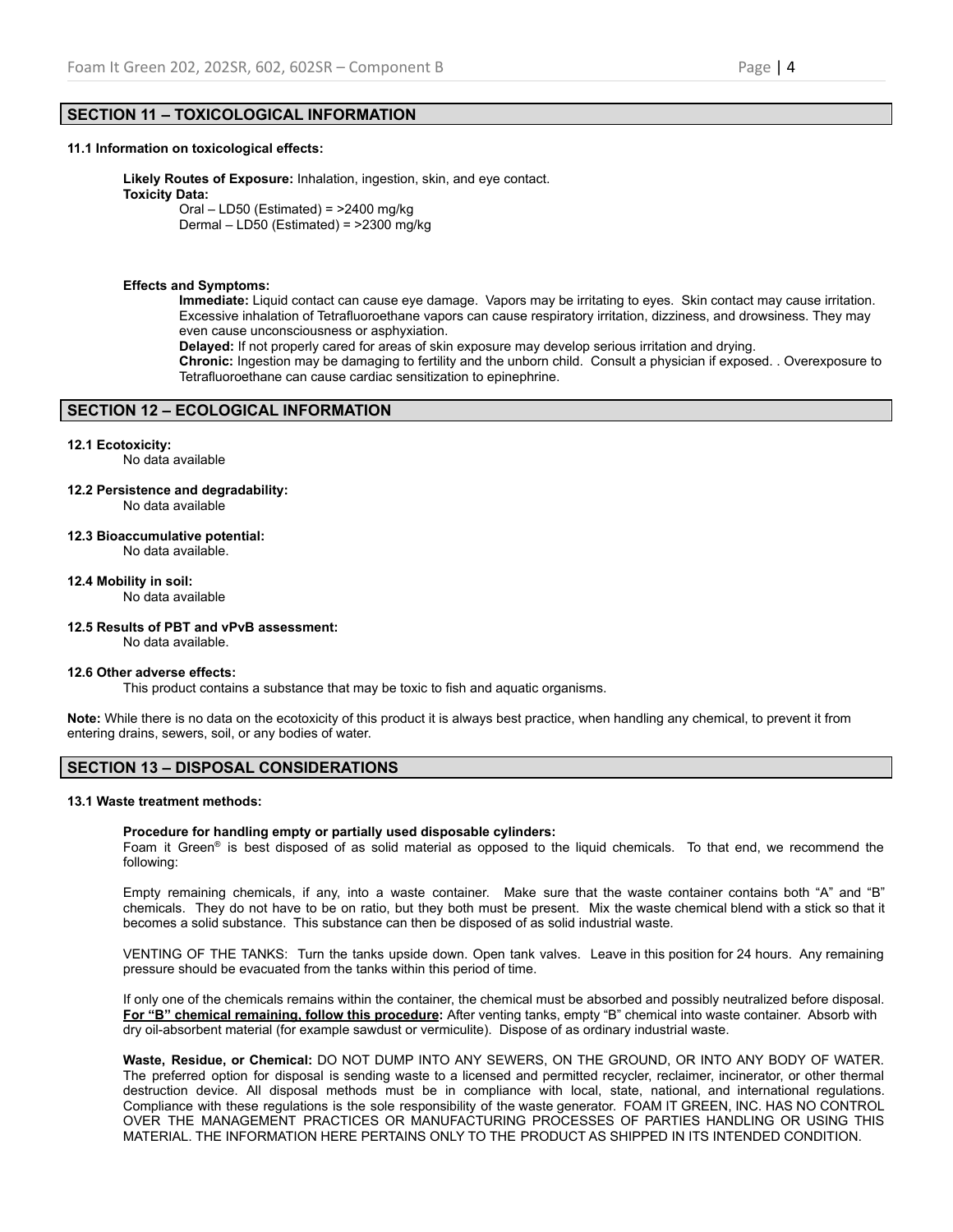## **SECTION 11 – TOXICOLOGICAL INFORMATION**

### **11.1 Information on toxicological effects:**

**Likely Routes of Exposure:** Inhalation, ingestion, skin, and eye contact. **Toxicity Data:** Oral – LD50 (Estimated) =  $>2400$  mg/kg

Dermal – LD50 (Estimated) = >2300 mg/kg

### **Effects and Symptoms:**

**Immediate:** Liquid contact can cause eye damage. Vapors may be irritating to eyes. Skin contact may cause irritation. Excessive inhalation of Tetrafluoroethane vapors can cause respiratory irritation, dizziness, and drowsiness. They may even cause unconsciousness or asphyxiation.

**Delayed:** If not properly cared for areas of skin exposure may develop serious irritation and drying.

**Chronic:** Ingestion may be damaging to fertility and the unborn child. Consult a physician if exposed. . Overexposure to Tetrafluoroethane can cause cardiac sensitization to epinephrine.

# **SECTION 12 – ECOLOGICAL INFORMATION**

## **12.1 Ecotoxicity:**

No data available

- **12.2 Persistence and degradability:** No data available
- **12.3 Bioaccumulative potential:** No data available.

**12.4 Mobility in soil:**

No data available

**12.5 Results of PBT and vPvB assessment:**

No data available.

### **12.6 Other adverse effects:**

This product contains a substance that may be toxic to fish and aquatic organisms.

**Note:** While there is no data on the ecotoxicity of this product it is always best practice, when handling any chemical, to prevent it from entering drains, sewers, soil, or any bodies of water.

# **SECTION 13 – DISPOSAL CONSIDERATIONS**

### **13.1 Waste treatment methods:**

### **Procedure for handling empty or partially used disposable cylinders:**

Foam it Green<sup>®</sup> is best disposed of as solid material as opposed to the liquid chemicals. To that end, we recommend the following:

Empty remaining chemicals, if any, into a waste container. Make sure that the waste container contains both "A" and "B" chemicals. They do not have to be on ratio, but they both must be present. Mix the waste chemical blend with a stick so that it becomes a solid substance. This substance can then be disposed of as solid industrial waste.

VENTING OF THE TANKS: Turn the tanks upside down. Open tank valves. Leave in this position for 24 hours. Any remaining pressure should be evacuated from the tanks within this period of time.

If only one of the chemicals remains within the container, the chemical must be absorbed and possibly neutralized before disposal. **For "B" chemical remaining, follow this procedure:** After venting tanks, empty "B" chemical into waste container. Absorb with dry oil-absorbent material (for example sawdust or vermiculite). Dispose of as ordinary industrial waste.

**Waste, Residue, or Chemical:** DO NOT DUMP INTO ANY SEWERS, ON THE GROUND, OR INTO ANY BODY OF WATER. The preferred option for disposal is sending waste to a licensed and permitted recycler, reclaimer, incinerator, or other thermal destruction device. All disposal methods must be in compliance with local, state, national, and international regulations. Compliance with these regulations is the sole responsibility of the waste generator. FOAM IT GREEN, INC. HAS NO CONTROL OVER THE MANAGEMENT PRACTICES OR MANUFACTURING PROCESSES OF PARTIES HANDLING OR USING THIS MATERIAL. THE INFORMATION HERE PERTAINS ONLY TO THE PRODUCT AS SHIPPED IN ITS INTENDED CONDITION.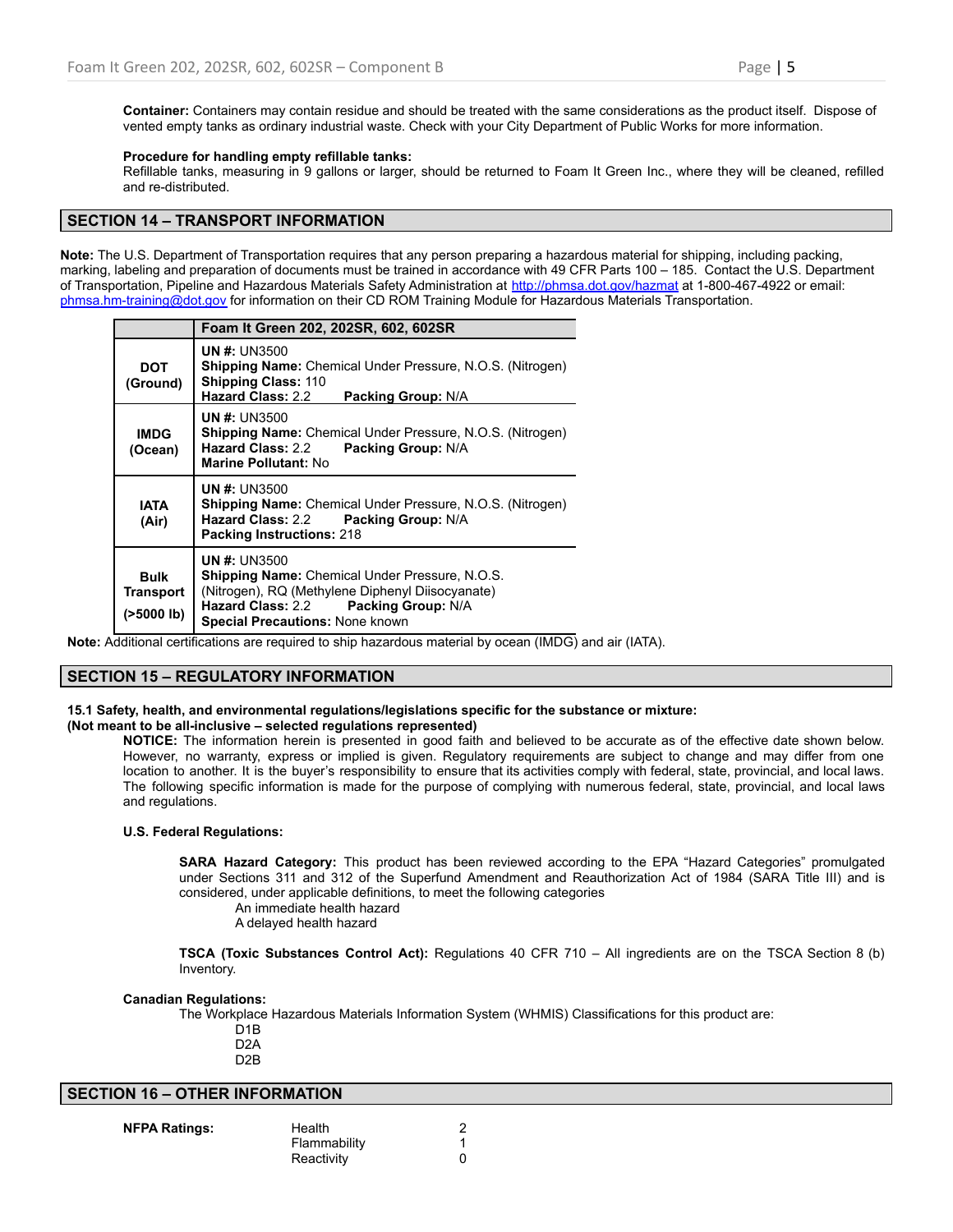**Container:** Containers may contain residue and should be treated with the same considerations as the product itself. Dispose of vented empty tanks as ordinary industrial waste. Check with your City Department of Public Works for more information.

## **Procedure for handling empty refillable tanks:**

Refillable tanks, measuring in 9 gallons or larger, should be returned to Foam It Green Inc., where they will be cleaned, refilled and re-distributed.

## **SECTION 14 – TRANSPORT INFORMATION**

**Note:** The U.S. Department of Transportation requires that any person preparing a hazardous material for shipping, including packing, marking, labeling and preparation of documents must be trained in accordance with 49 CFR Parts 100 – 185. Contact the U.S. Department of Transportation, Pipeline and Hazardous Materials Safety Administration at <http://phmsa.dot.gov/hazmat> at 1-800-467-4922 or email: [phmsa.hm-training@dot.gov](mailto:phmsa.hm-training@dot.gov) for information on their CD ROM Training Module for Hazardous Materials Transportation.

|                                                  | Foam It Green 202, 202SR, 602, 602SR                                                                                                                                                                               |
|--------------------------------------------------|--------------------------------------------------------------------------------------------------------------------------------------------------------------------------------------------------------------------|
| <b>DOT</b><br>(Ground)                           | <b>UN #: UN3500</b><br><b>Shipping Name:</b> Chemical Under Pressure, N.O.S. (Nitrogen)<br><b>Shipping Class: 110</b><br>Hazard Class: 2.2<br><b>Packing Group: N/A</b>                                            |
| <b>IMDG</b><br>(Ocean)                           | <b>UN #: UN3500</b><br><b>Shipping Name:</b> Chemical Under Pressure, N.O.S. (Nitrogen)<br>Hazard Class: 2.2<br>Packing Group: N/A<br>Marine Pollutant: No                                                         |
| IATA<br>(Air)                                    | <b>UN #: UN3500</b><br><b>Shipping Name:</b> Chemical Under Pressure, N.O.S. (Nitrogen)<br>Hazard Class: 2.2 Packing Group: N/A<br><b>Packing Instructions: 218</b>                                                |
| <b>Bulk</b><br><b>Transport</b><br>$($ >5000 lb) | <b>UN #: UN3500</b><br><b>Shipping Name:</b> Chemical Under Pressure, N.O.S.<br>(Nitrogen), RQ (Methylene Diphenyl Diisocyanate)<br>Hazard Class: 2.2 Packing Group: N/A<br><b>Special Precautions: None known</b> |

**Note:** Additional certifications are required to ship hazardous material by ocean (IMDG) and air (IATA).

# **SECTION 15 – REGULATORY INFORMATION**

## **15.1 Safety, health, and environmental regulations/legislations specific for the substance or mixture:**

### **(Not meant to be all-inclusive – selected regulations represented)**

**NOTICE:** The information herein is presented in good faith and believed to be accurate as of the effective date shown below. However, no warranty, express or implied is given. Regulatory requirements are subject to change and may differ from one location to another. It is the buyer's responsibility to ensure that its activities comply with federal, state, provincial, and local laws. The following specific information is made for the purpose of complying with numerous federal, state, provincial, and local laws and regulations.

## **U.S. Federal Regulations:**

**SARA Hazard Category:** This product has been reviewed according to the EPA "Hazard Categories" promulgated under Sections 311 and 312 of the Superfund Amendment and Reauthorization Act of 1984 (SARA Title III) and is considered, under applicable definitions, to meet the following categories

An immediate health hazard

A delayed health hazard

**TSCA (Toxic Substances Control Act):** Regulations 40 CFR 710 – All ingredients are on the TSCA Section 8 (b) Inventory.

### **Canadian Regulations:**

The Workplace Hazardous Materials Information System (WHMIS) Classifications for this product are:

- D1B D2A
- D2B

# **SECTION 16 – OTHER INFORMATION**

**NFPA Ratings:** Health 2 Flammability 1 Reactivity 0